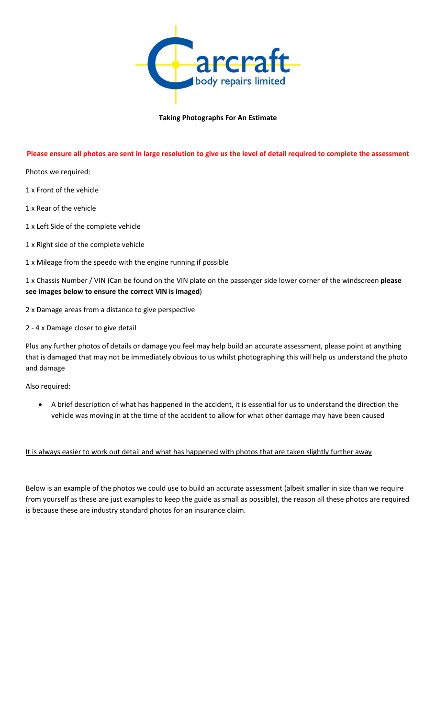

## Taking Photographs For An Estimate

## Please ensure all photos are sent in large resolution to give us the level of detail required to complete the assessment

Photos we required:

1 x Front of the vehicle

1 x Rear of the vehicle

- 1 x Left Side of the complete vehicle
- 1 x Right side of the complete vehicle

1 x Mileage from the speedo with the engine running if possible

1 x Chassis Number / VIN (Can be found on the VIN plate on the passenger side lower corner of the windscreen please see images below to ensure the correct VIN is imaged)

2 x Damage areas from a distance to give perspective

2 - 4 x Damage closer to give detail

Plus any further photos of details or damage you feel may help build an accurate assessment, please point at anything that is damaged that may not be immediately obvious to us whilst photographing this will help us understand the photo and damage

Also required:

 A brief description of what has happened in the accident, it is essential for us to understand the direction the vehicle was moving in at the time of the accident to allow for what other damage may have been caused

It is always easier to work out detail and what has happened with photos that are taken slightly further away

Below is an example of the photos we could use to build an accurate assessment (albeit smaller in size than we require from yourself as these are just examples to keep the guide as small as possible), the reason all these photos are required is because these are industry standard photos for an insurance claim.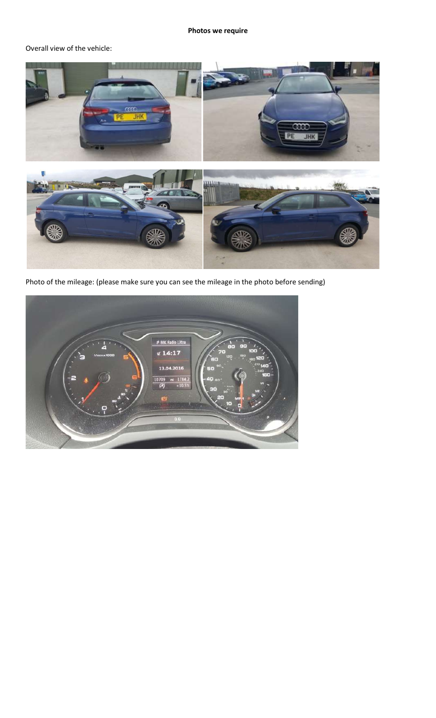## Photos we require

## Overall view of the vehicle:



Photo of the mileage: (please make sure you can see the mileage in the photo before sending)

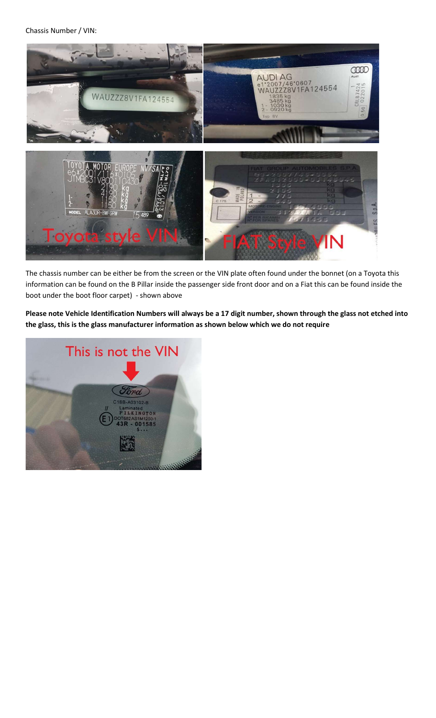Chassis Number / VIN:



The chassis number can be either be from the screen or the VIN plate often found under the bonnet (on a Toyota this information can be found on the B Pillar inside the passenger side front door and on a Fiat this can be found inside the boot under the boot floor carpet) - shown above

Please note Vehicle Identification Numbers will always be a 17 digit number, shown through the glass not etched into the glass, this is the glass manufacturer information as shown below which we do not require